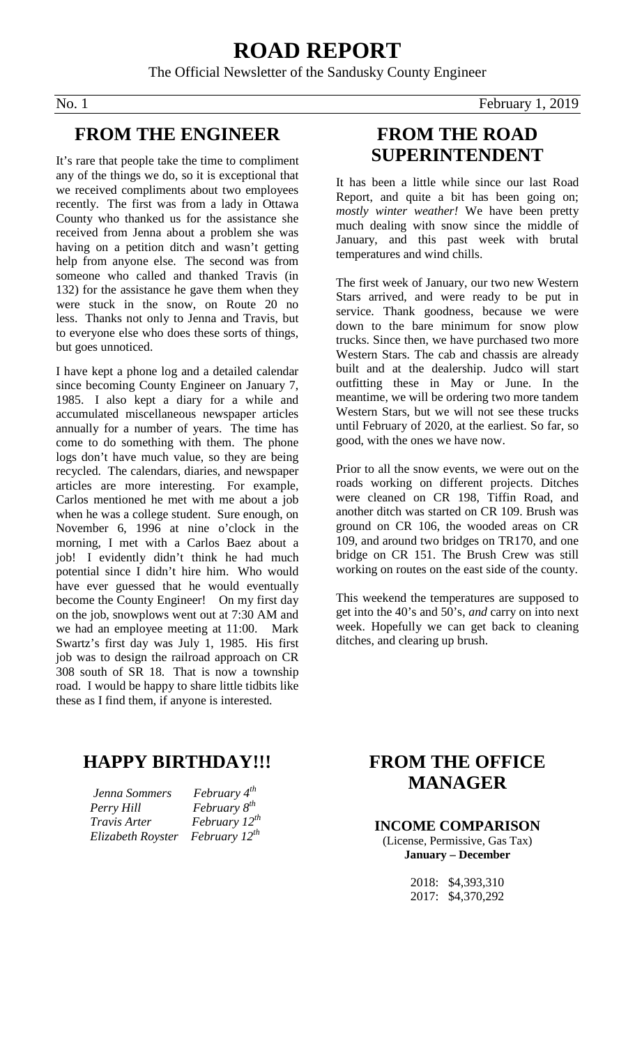# **ROAD REPORT** The Official Newsletter of the Sandusky County Engineer

#### **FROM THE ENGINEER**

It's rare that people take the time to compliment any of the things we do, so it is exceptional that we received compliments about two employees recently. The first was from a lady in Ottawa County who thanked us for the assistance she received from Jenna about a problem she was having on a petition ditch and wasn't getting help from anyone else. The second was from someone who called and thanked Travis (in 132) for the assistance he gave them when they were stuck in the snow, on Route 20 no less. Thanks not only to Jenna and Travis, but to everyone else who does these sorts of things, but goes unnoticed.

I have kept a phone log and a detailed calendar since becoming County Engineer on January 7, 1985. I also kept a diary for a while and accumulated miscellaneous newspaper articles annually for a number of years. The time has come to do something with them. The phone logs don't have much value, so they are being recycled. The calendars, diaries, and newspaper articles are more interesting. For example, Carlos mentioned he met with me about a job when he was a college student. Sure enough, on November 6, 1996 at nine o'clock in the morning, I met with a Carlos Baez about a job! I evidently didn't think he had much potential since I didn't hire him. Who would have ever guessed that he would eventually become the County Engineer! On my first day on the job, snowplows went out at 7:30 AM and we had an employee meeting at 11:00. Mark Swartz's first day was July 1, 1985. His first job was to design the railroad approach on CR 308 south of SR 18. That is now a township road. I would be happy to share little tidbits like these as I find them, if anyone is interested.

### **FROM THE ROAD SUPERINTENDENT**

It has been a little while since our last Road Report, and quite a bit has been going on; *mostly winter weather!* We have been pretty much dealing with snow since the middle of January, and this past week with brutal temperatures and wind chills.

The first week of January, our two new Western Stars arrived, and were ready to be put in service. Thank goodness, because we were down to the bare minimum for snow plow trucks. Since then, we have purchased two more Western Stars. The cab and chassis are already built and at the dealership. Judco will start outfitting these in May or June. In the meantime, we will be ordering two more tandem Western Stars, but we will not see these trucks until February of 2020, at the earliest. So far, so good, with the ones we have now.

Prior to all the snow events, we were out on the roads working on different projects. Ditches were cleaned on CR 198, Tiffin Road, and another ditch was started on CR 109. Brush was ground on CR 106, the wooded areas on CR 109, and around two bridges on TR170, and one bridge on CR 151. The Brush Crew was still working on routes on the east side of the county.

This weekend the temperatures are supposed to get into the 40's and 50's, *and* carry on into next week. Hopefully we can get back to cleaning ditches, and clearing up brush.

## **HAPPY BIRTHDAY!!!**

 *Jenna Sommers February 4th Perry Hill February 8th Travis Arter February 12th Elizabeth Royster February 12th*

### **FROM THE OFFICE MANAGER**

#### **INCOME COMPARISON**

(License, Permissive, Gas Tax) **January – December**

> 2018: \$4,393,310 2017: \$4,370,292

No. 1 February 1, 2019